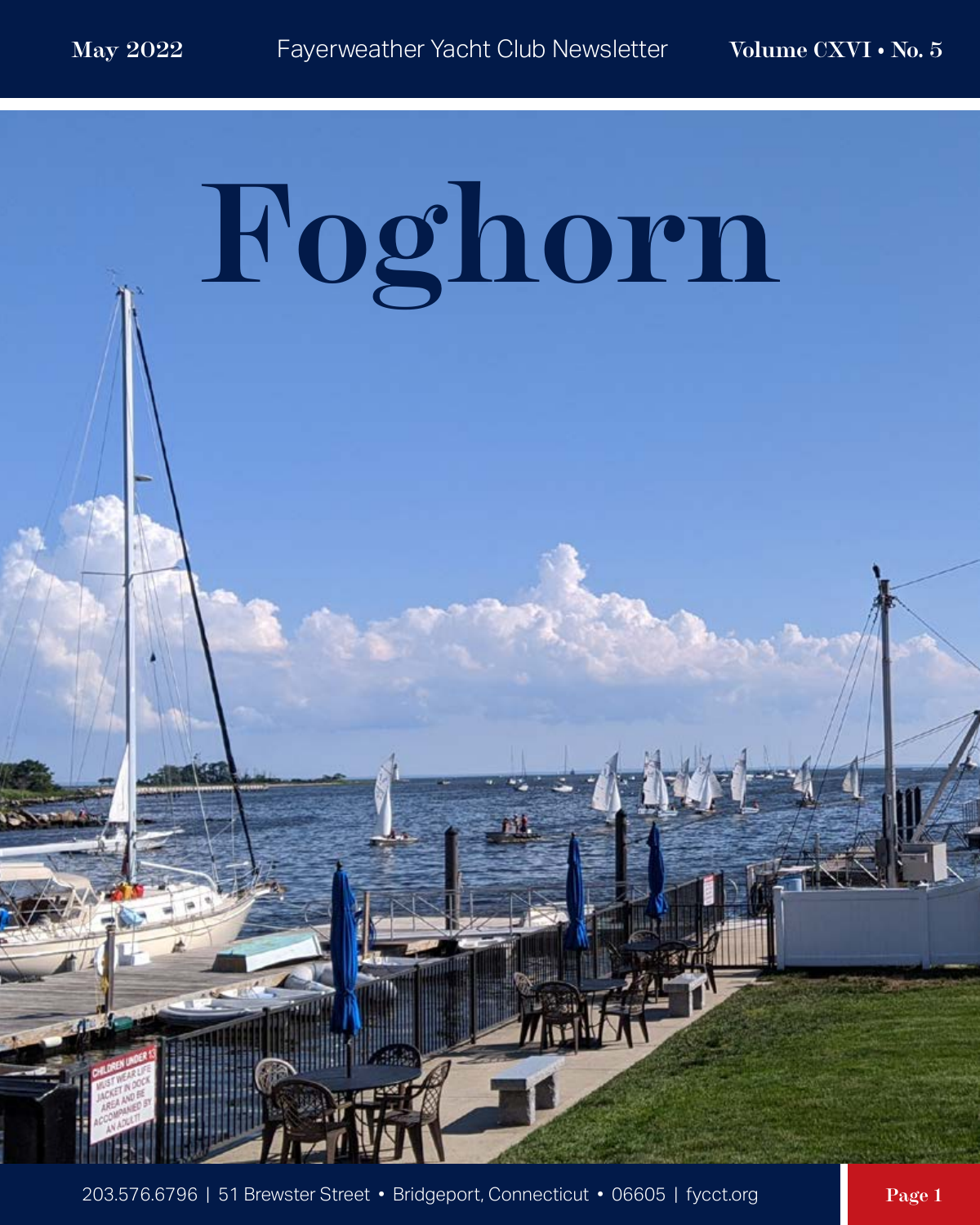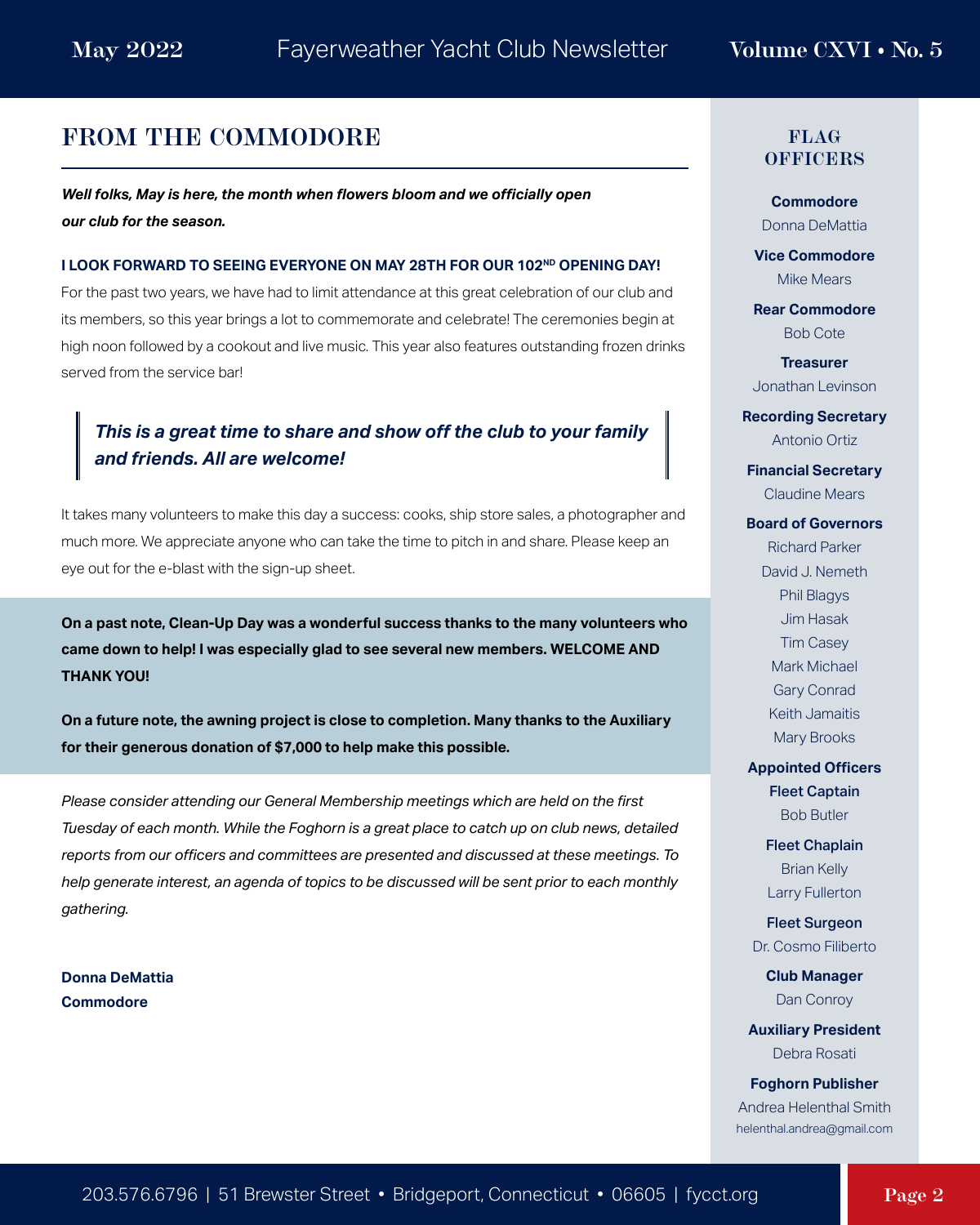## **FROM THE COMMODORE**

*Well folks, May is here, the month when flowers bloom and we officially open our club for the season.*

#### **I LOOK FORWARD TO SEEING EVERYONE ON MAY 28TH FOR OUR 102<sup>ND</sup> OPENING DAY!**

For the past two years, we have had to limit attendance at this great celebration of our club and its members, so this year brings a lot to commemorate and celebrate! The ceremonies begin at high noon followed by a cookout and live music. This year also features outstanding frozen drinks served from the service bar!

#### *This is a great time to share and show off the club to your family and friends. All are welcome!*

It takes many volunteers to make this day a success: cooks, ship store sales, a photographer and much more. We appreciate anyone who can take the time to pitch in and share. Please keep an eye out for the e-blast with the sign-up sheet.

**On a past note, Clean-Up Day was a wonderful success thanks to the many volunteers who came down to help! I was especially glad to see several new members. WELCOME AND THANK YOU!** 

**On a future note, the awning project is close to completion. Many thanks to the Auxiliary for their generous donation of \$7,000 to help make this possible.** 

*Please consider attending our General Membership meetings which are held on the first Tuesday of each month. While the Foghorn is a great place to catch up on club news, detailed reports from our officers and committees are presented and discussed at these meetings. To help generate interest, an agenda of topics to be discussed will be sent prior to each monthly gathering.* 

**Donna DeMattia Commodore**

#### **FLAG OFFICERS**

**Commodore** Donna DeMattia

**Vice Commodore** Mike Mears

**Rear Commodore** Bob Cote

**Treasurer** Jonathan Levinson

**Recording Secretary** Antonio Ortiz

**Financial Secretary** Claudine Mears

#### **Board of Governors**

Richard Parker David J. Nemeth Phil Blagys Jim Hasak Tim Casey Mark Michael Gary Conrad Keith Jamaitis Mary Brooks

**Appointed Officers** Fleet Captain

Bob Butler

Fleet Chaplain Brian Kelly Larry Fullerton

Fleet Surgeon Dr. Cosmo Filiberto

> **Club Manager** Dan Conroy

**Auxiliary President** Debra Rosati

**Foghorn Publisher** Andrea Helenthal Smith helenthal.andrea@gmail.com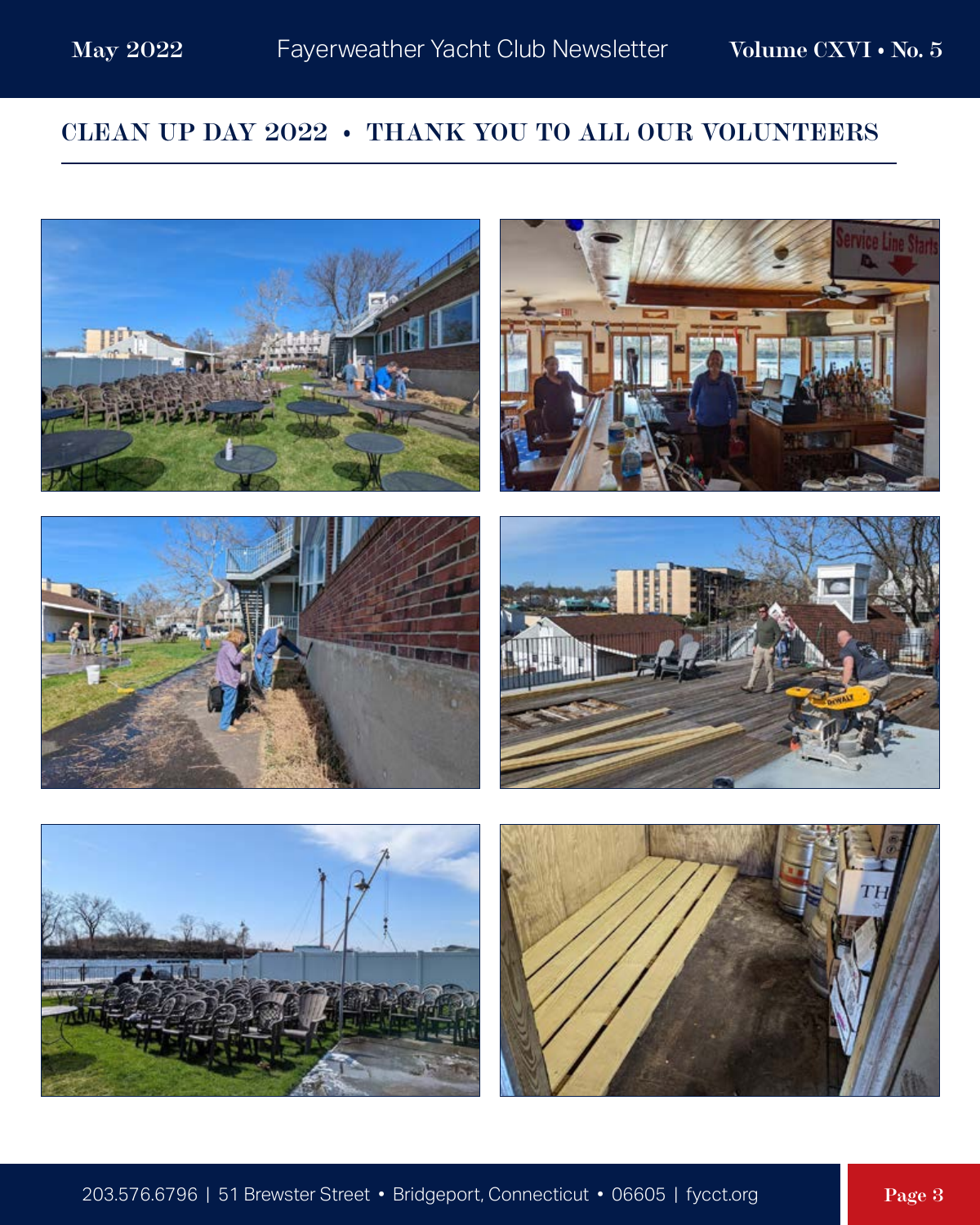# **CLEAN UP DAY 2022 • THANK YOU TO ALL OUR VOLUNTEERS**

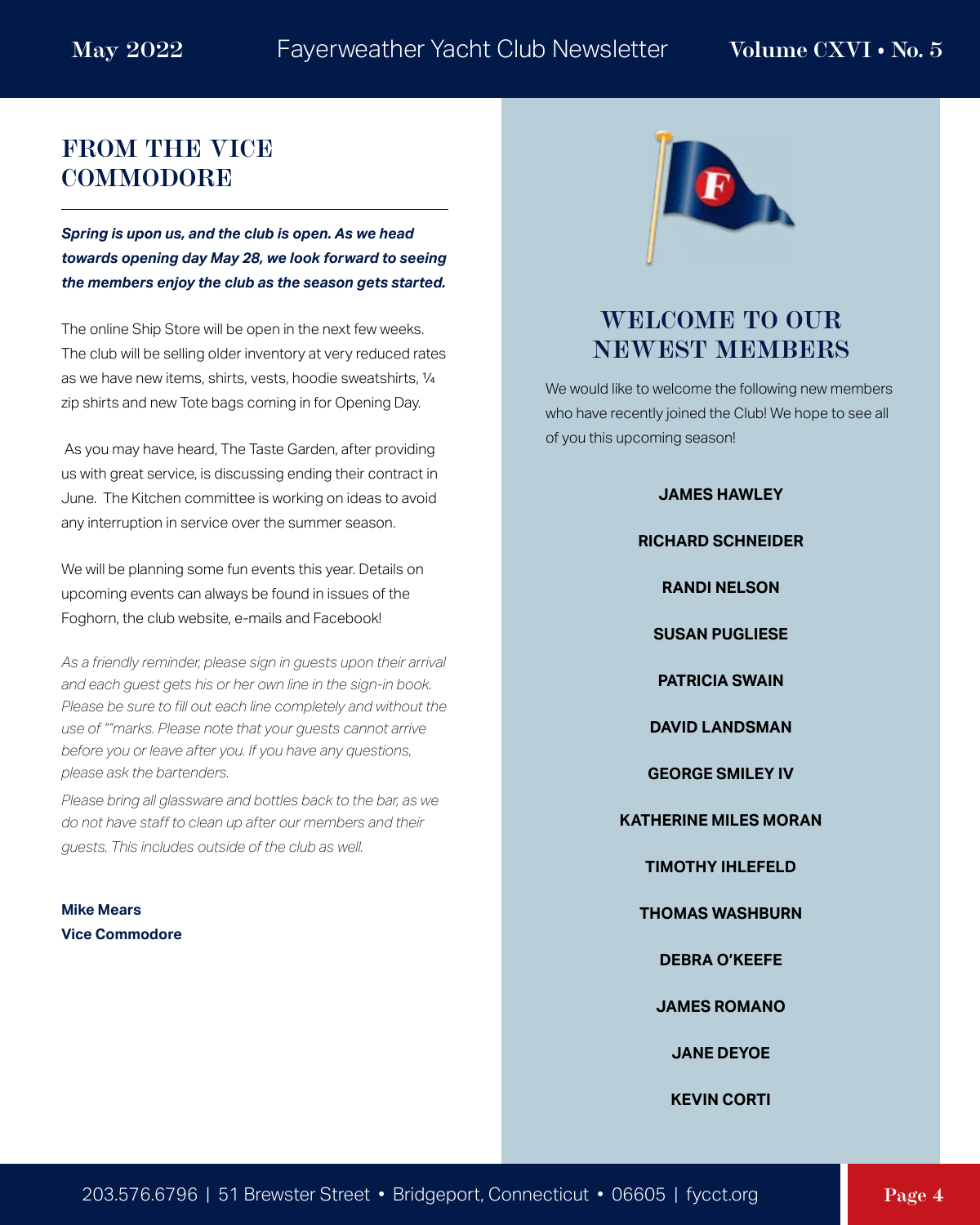# **FROM THE VICE COMMODORE**

*Spring is upon us, and the club is open. As we head towards opening day May 28, we look forward to seeing the members enjoy the club as the season gets started.* 

The online Ship Store will be open in the next few weeks. The club will be selling older inventory at very reduced rates as we have new items, shirts, vests, hoodie sweatshirts, ¼ zip shirts and new Tote bags coming in for Opening Day.

 As you may have heard, The Taste Garden, after providing us with great service, is discussing ending their contract in June. The Kitchen committee is working on ideas to avoid any interruption in service over the summer season.

We will be planning some fun events this year. Details on upcoming events can always be found in issues of the Foghorn, the club website, e-mails and Facebook!

*As a friendly reminder, please sign in guests upon their arrival and each guest gets his or her own line in the sign-in book. Please be sure to fill out each line completely and without the use of ""marks. Please note that your guests cannot arrive before you or leave after you. If you have any questions, please ask the bartenders.* 

*Please bring all glassware and bottles back to the bar, as we do not have staff to clean up after our members and their guests. This includes outside of the club as well.* 

**Mike Mears Vice Commodore**



# **WELCOME TO OUR NEWEST MEMBERS**

We would like to welcome the following new members who have recently joined the Club! We hope to see all of you this upcoming season!

> **JAMES HAWLEY RICHARD SCHNEIDER RANDI NELSON SUSAN PUGLIESE PATRICIA SWAIN DAVID LANDSMAN GEORGE SMILEY IV KATHERINE MILES MORAN TIMOTHY IHLEFELD THOMAS WASHBURN DEBRA O'KEEFE JAMES ROMANO JANE DEYOE**

> > **KEVIN CORTI**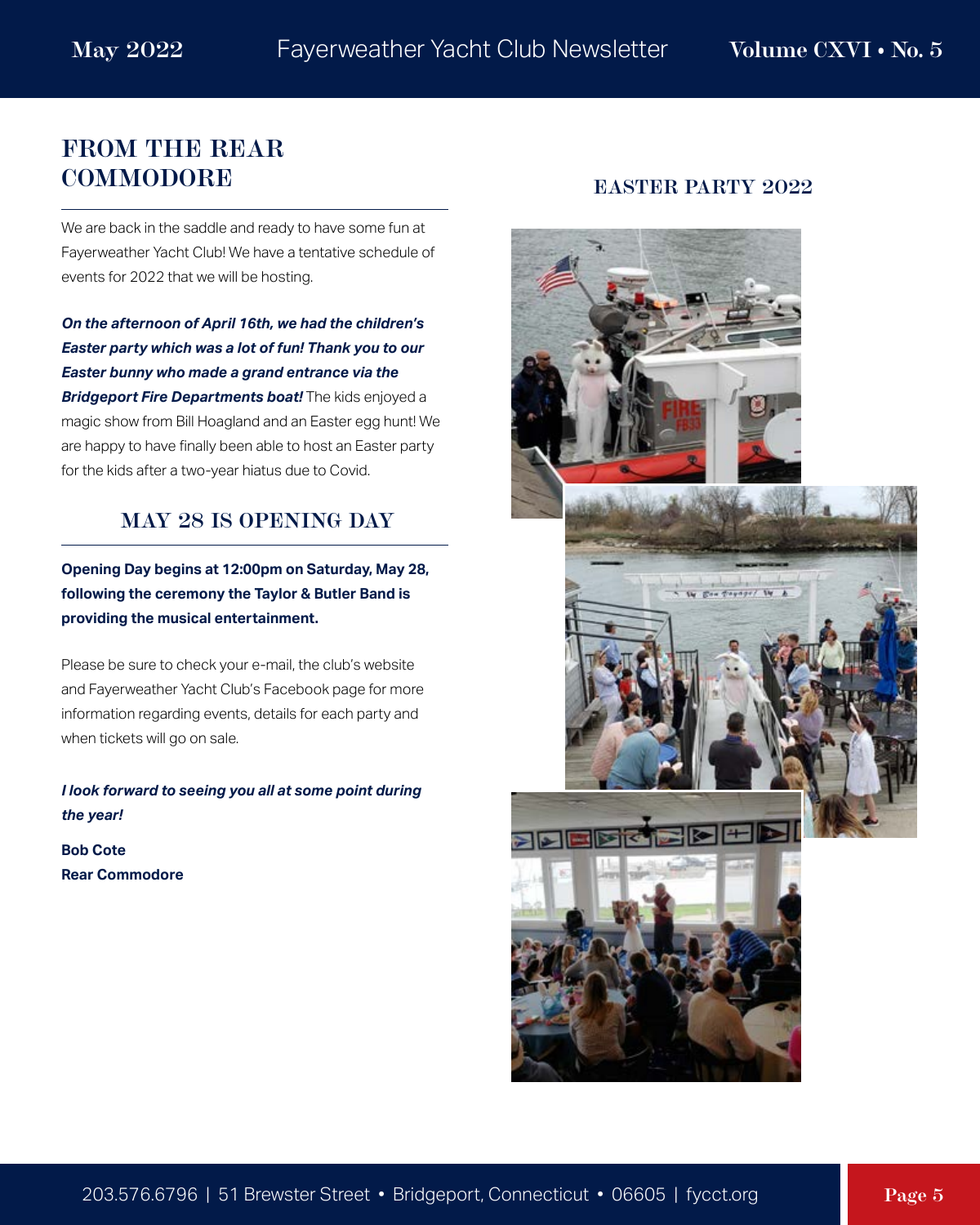# **FROM THE REAR COMMODORE**

We are back in the saddle and ready to have some fun at Fayerweather Yacht Club! We have a tentative schedule of events for 2022 that we will be hosting.

*On the afternoon of April 16th, we had the children's Easter party which was a lot of fun! Thank you to our Easter bunny who made a grand entrance via the Bridgeport Fire Departments boat!* The kids enjoyed a magic show from Bill Hoagland and an Easter egg hunt! We are happy to have finally been able to host an Easter party for the kids after a two-year hiatus due to Covid.

#### **MAY 28 IS OPENING DAY**

**Opening Day begins at 12:00pm on Saturday, May 28, following the ceremony the Taylor & Butler Band is providing the musical entertainment.**

Please be sure to check your e-mail, the club's website and Fayerweather Yacht Club's Facebook page for more information regarding events, details for each party and when tickets will go on sale.

*I look forward to seeing you all at some point during the year!*

**Bob Cote Rear Commodore**

#### **EASTER PARTY 2022**

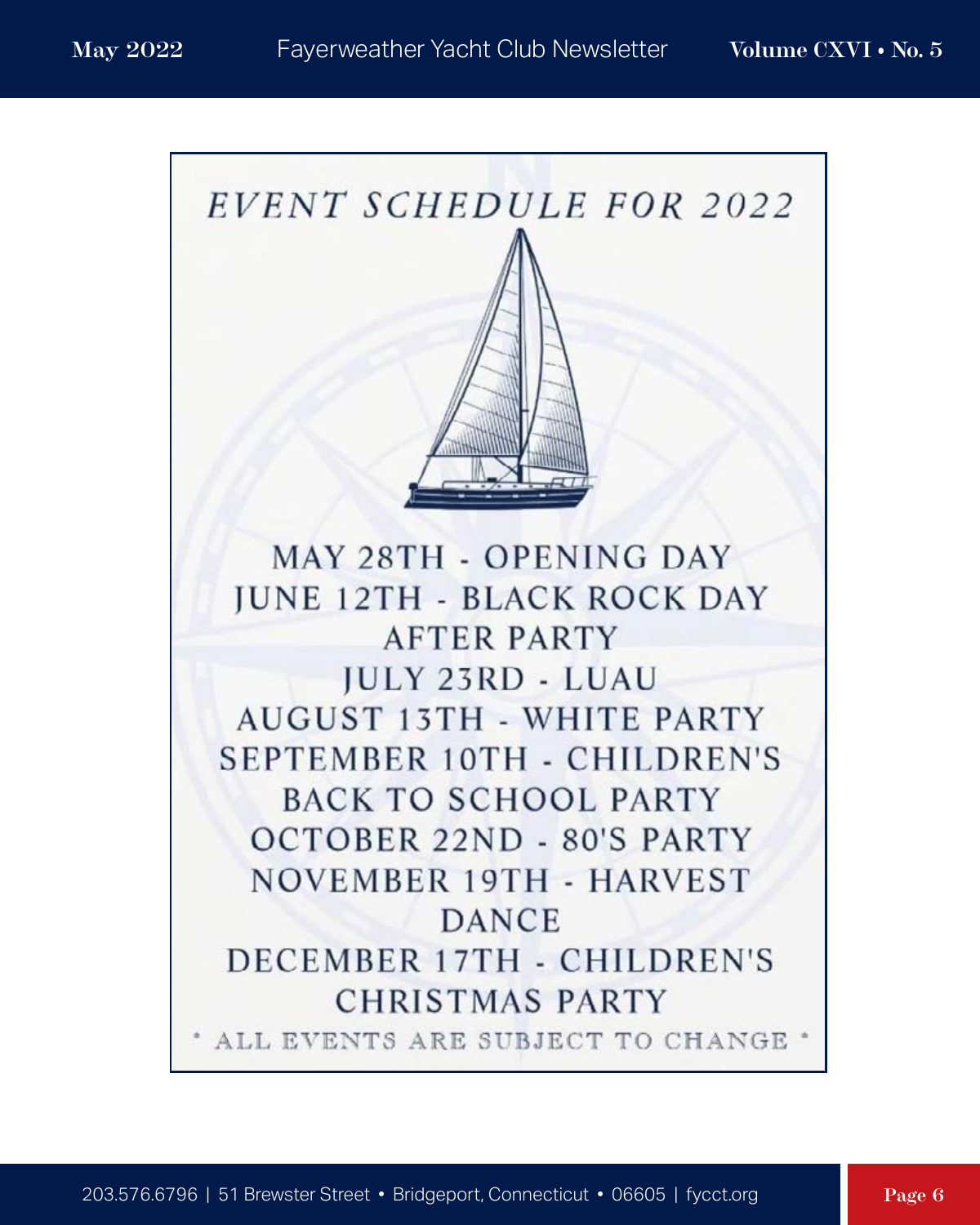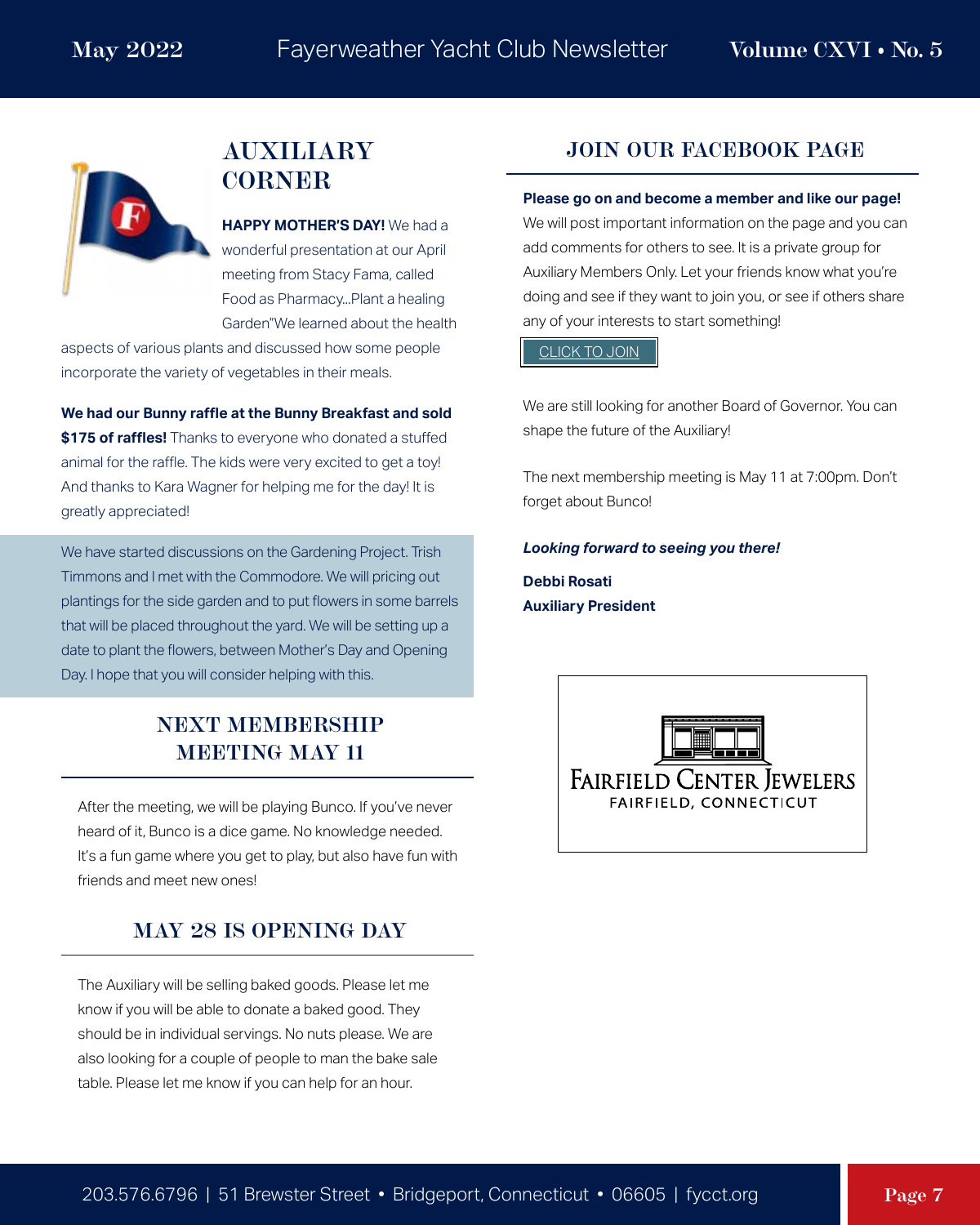

# **AUXILIARY CORNER**

**HAPPY MOTHER'S DAY!** We had a wonderful presentation at our April meeting from Stacy Fama, called Food as Pharmacy...Plant a healing Garden"We learned about the health

aspects of various plants and discussed how some people incorporate the variety of vegetables in their meals.

**We had our Bunny raffle at the Bunny Breakfast and sold \$175 of raffles!** Thanks to everyone who donated a stuffed animal for the raffle. The kids were very excited to get a toy! And thanks to Kara Wagner for helping me for the day! It is greatly appreciated!

We have started discussions on the Gardening Project. Trish Timmons and I met with the Commodore. We will pricing out plantings for the side garden and to put flowers in some barrels that will be placed throughout the yard. We will be setting up a date to plant the flowers, between Mother's Day and Opening Day. I hope that you will consider helping with this.

## **NEXT MEMBERSHIP MEETING MAY 11**

After the meeting, we will be playing Bunco. If you've never heard of it, Bunco is a dice game. No knowledge needed. It's a fun game where you get to play, but also have fun with friends and meet new ones!

# **MAY 28 IS OPENING DAY**

The Auxiliary will be selling baked goods. Please let me know if you will be able to donate a baked good. They should be in individual servings. No nuts please. We are also looking for a couple of people to man the bake sale table. Please let me know if you can help for an hour.

### **JOIN OUR FACEBOOK PAGE**

#### **Please go on and become a member and like our page!**

We will post important information on the page and you can add comments for others to see. It is a private group for Auxiliary Members Only. Let your friends know what you're doing and see if they want to join you, or see if others share any of your interests to start something!

#### [CLICK TO JOIN](https://www.facebook.com/groups/443749913780538)

We are still looking for another Board of Governor. You can shape the future of the Auxiliary!

The next membership meeting is May 11 at 7:00pm. Don't forget about Bunco!

*Looking forward to seeing you there!* **Debbi Rosati Auxiliary President**

> **FAIRFIELD CENTER JEWELERS FAIRFIELD, CONNECTICUT**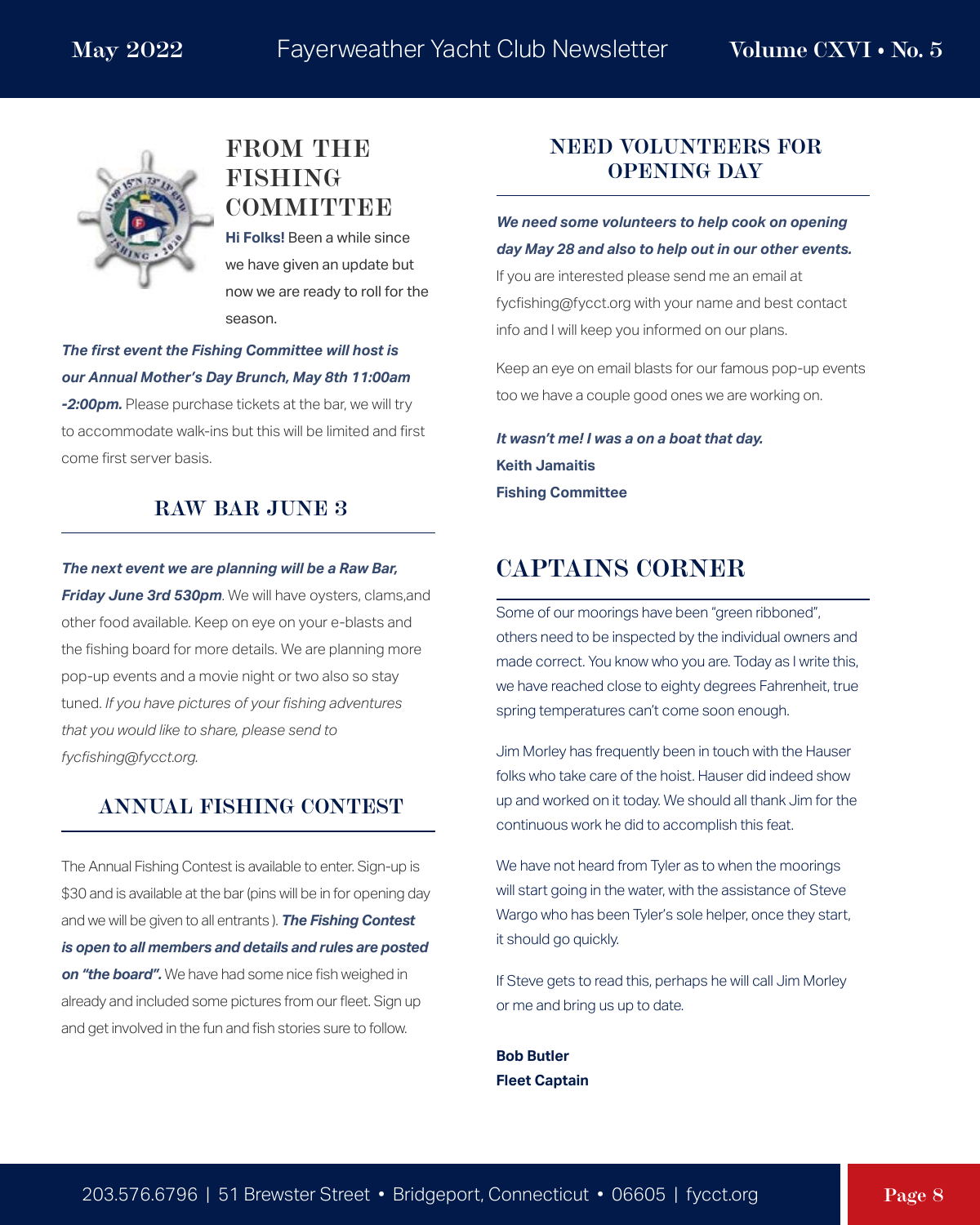

# **FROM THE FISHING COMMITTEE**

**Hi Folks!** Been a while since we have given an update but now we are ready to roll for the season.

*The first event the Fishing Committee will host is our Annual Mother's Day Brunch, May 8th 11:00am -2:00pm.* Please purchase tickets at the bar, we will try to accommodate walk-ins but this will be limited and first come first server basis.

#### **RAW BAR JUNE 3**

#### *The next event we are planning will be a Raw Bar,*

*Friday June 3rd 530pm*. We will have oysters, clams,and other food available. Keep on eye on your e-blasts and the fishing board for more details. We are planning more pop-up events and a movie night or two also so stay tuned. *If you have pictures of your fishing adventures that you would like to share, please send to fycfishing@fycct.org.* 

### **ANNUAL FISHING CONTEST**

The Annual Fishing Contest is available to enter. Sign-up is \$30 and is available at the bar (pins will be in for opening day and we will be given to all entrants ). *The Fishing Contest is open to all members and details and rules are posted on "the board".* We have had some nice fish weighed in already and included some pictures from our fleet. Sign up and get involved in the fun and fish stories sure to follow.

#### **NEED VOLUNTEERS FOR OPENING DAY**

#### *We need some volunteers to help cook on opening day May 28 and also to help out in our other events.*

If you are interested please send me an email at fycfishing@fycct.org with your name and best contact info and I will keep you informed on our plans.

Keep an eye on email blasts for our famous pop-up events too we have a couple good ones we are working on.

*It wasn't me! I was a on a boat that day.* **Keith Jamaitis Fishing Committee**

# **CAPTAINS CORNER**

Some of our moorings have been "green ribboned", others need to be inspected by the individual owners and made correct. You know who you are. Today as I write this, we have reached close to eighty degrees Fahrenheit, true spring temperatures can't come soon enough.

Jim Morley has frequently been in touch with the Hauser folks who take care of the hoist. Hauser did indeed show up and worked on it today. We should all thank Jim for the continuous work he did to accomplish this feat.

We have not heard from Tyler as to when the moorings will start going in the water, with the assistance of Steve Wargo who has been Tyler's sole helper, once they start, it should go quickly.

If Steve gets to read this, perhaps he will call Jim Morley or me and bring us up to date.

**Bob Butler Fleet Captain**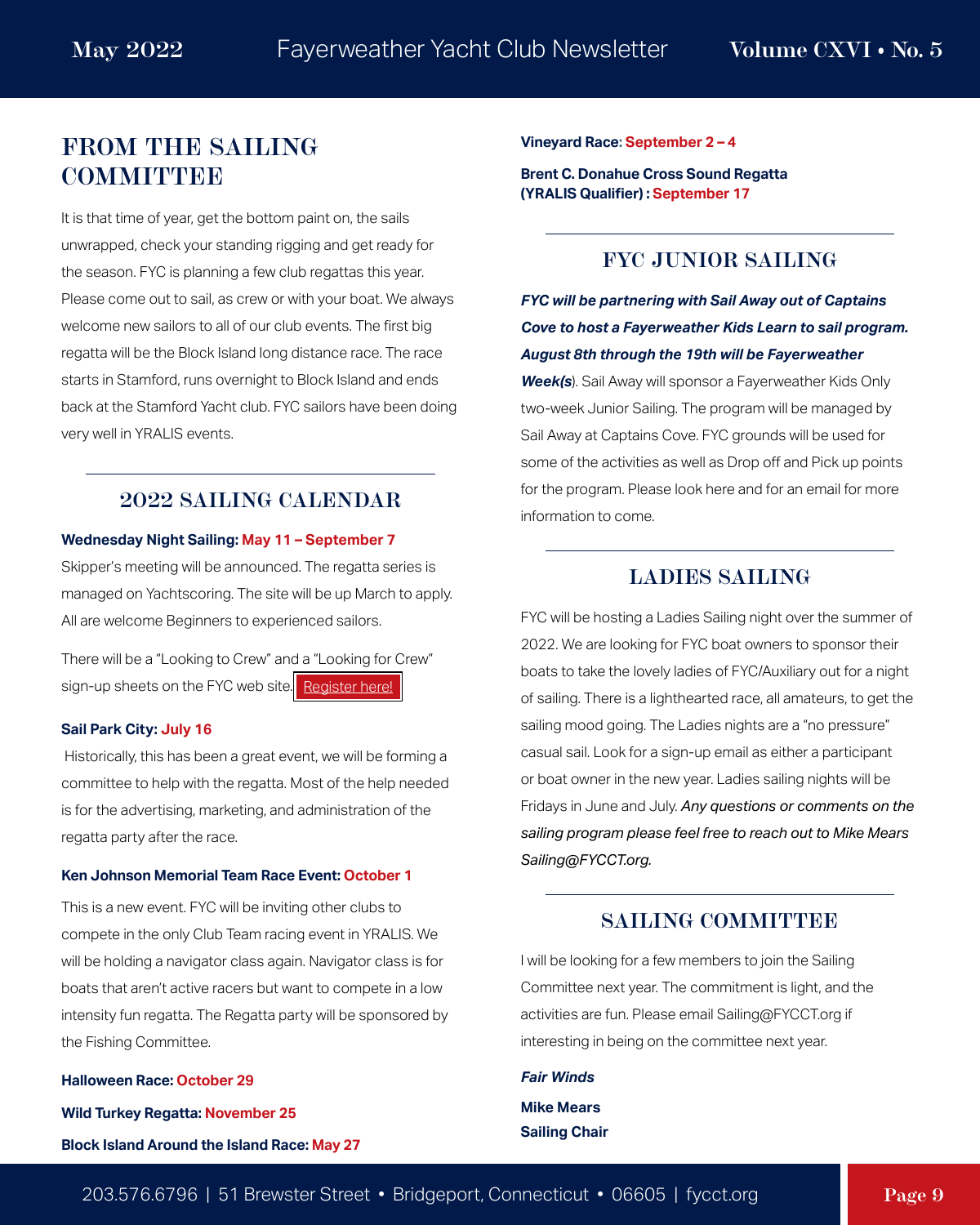# **[FROM THE SAILING](https://fycct.org/index.cfm?ID=169)  COMMITTEE**

It is that time of year, get the bottom paint on, the sails unwrapped, check your standing rigging and get ready for the season. FYC is planning a few club regattas this year. Please come out to sail, as crew or with your boat. We always welcome new sailors to all of our club events. The first big regatta will be the Block Island long distance race. The race starts in Stamford, runs overnight to Block Island and ends back at the Stamford Yacht club. FYC sailors have been doing very well in YRALIS events.

#### **2022 SAILING CALENDAR**

#### **Wednesday Night Sailing: May 11 – September 7**

Skipper's meeting will be announced. The regatta series is managed on Yachtscoring. The site will be up March to apply. All are welcome Beginners to experienced sailors.

There will be a "Looking to Crew" and a "Looking for Crew" sign-up sheets on the FYC web site. [Register here!](https://fycct.org/index.cfm?ID=169)

#### **Sail Park City: July 16**

 Historically, this has been a great event, we will be forming a committee to help with the regatta. Most of the help needed is for the advertising, marketing, and administration of the regatta party after the race.

#### **Ken Johnson Memorial Team Race Event: October 1**

This is a new event. FYC will be inviting other clubs to compete in the only Club Team racing event in YRALIS. We will be holding a navigator class again. Navigator class is for boats that aren't active racers but want to compete in a low intensity fun regatta. The Regatta party will be sponsored by the Fishing Committee.

**Halloween Race: October 29**

**Wild Turkey Regatta: November 25**

**Block Island Around the Island Race: May 27**

**Vineyard Race: September 2 – 4**

**Brent C. Donahue Cross Sound Regatta (YRALIS Qualifier) : September 17**

#### **FYC JUNIOR SAILING**

*FYC will be partnering with Sail Away out of Captains Cove to host a Fayerweather Kids Learn to sail program. August 8th through the 19th will be Fayerweather Week(s*). Sail Away will sponsor a Fayerweather Kids Only two-week Junior Sailing. The program will be managed by Sail Away at Captains Cove. FYC grounds will be used for some of the activities as well as Drop off and Pick up points for the program. Please look here and for an email for more information to come.

#### **LADIES SAILING**

FYC will be hosting a Ladies Sailing night over the summer of 2022. We are looking for FYC boat owners to sponsor their boats to take the lovely ladies of FYC/Auxiliary out for a night of sailing. There is a lighthearted race, all amateurs, to get the sailing mood going. The Ladies nights are a "no pressure" casual sail. Look for a sign-up email as either a participant or boat owner in the new year. Ladies sailing nights will be Fridays in June and July. *Any questions or comments on the sailing program please feel free to reach out to Mike Mears Sailing@FYCCT.org.*

#### **SAILING COMMITTEE**

I will be looking for a few members to join the Sailing Committee next year. The commitment is light, and the activities are fun. Please email Sailing@FYCCT.org if interesting in being on the committee next year.

*Fair Winds* **Mike Mears Sailing Chair**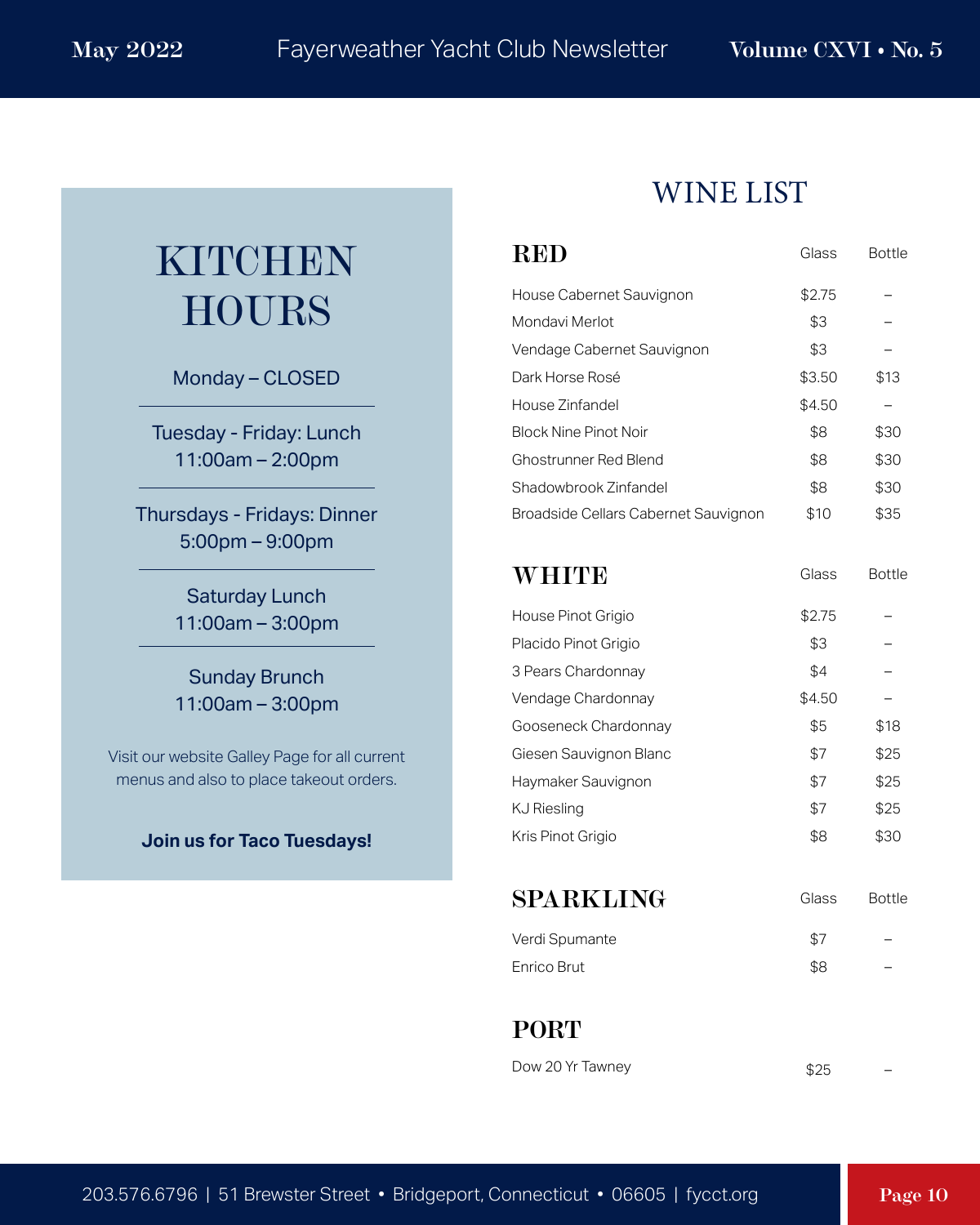# KITCHEN HOURS

Monday – CLOSED

Tuesday - Friday: Lunch 11:00am – 2:00pm

Thursdays - Fridays: Dinner 5:00pm – 9:00pm

> Saturday Lunch 11:00am – 3:00pm

> Sunday Brunch 11:00am – 3:00pm

Visit our website Galley Page for all current menus and also to place takeout orders.

#### **Join us for Taco Tuesdays!**

# WINE LIST

| RED                                  | Glass  | <b>Bottle</b> |
|--------------------------------------|--------|---------------|
| House Cabernet Sauvignon             | \$2.75 |               |
| Mondavi Merlot                       | \$3    |               |
| Vendage Cabernet Sauvignon           | \$3    |               |
| Dark Horse Rosé                      | \$3.50 | \$13          |
| House Zinfandel                      | \$4.50 |               |
| <b>Block Nine Pinot Noir</b>         | \$8    | \$30          |
| <b>Ghostrunner Red Blend</b>         | \$8    | \$30          |
| Shadowbrook Zinfandel                | \$8    | \$30          |
| Broadside Cellars Cabernet Sauvignon | \$10   | \$35          |
|                                      |        |               |
| WHITE                                | Glass  | <b>Bottle</b> |
| House Pinot Grigio                   | \$2.75 |               |
| Placido Pinot Grigio                 | \$3    |               |
| 3 Pears Chardonnay                   | \$4    |               |
| Vendage Chardonnay                   | \$4.50 |               |
| Gooseneck Chardonnay                 | \$5    | \$18          |
| Giesen Sauvignon Blanc               | \$7    | \$25          |
| Haymaker Sauvignon                   | \$7    | \$25          |
| <b>KJ Riesling</b>                   | \$7    | \$25          |
| Kris Pinot Grigio                    | \$8    | \$30          |
|                                      |        |               |

# **SPARKLING** Glass Bottle

| Verdi Spumante |     |  |
|----------------|-----|--|
| Enrico Brut    | \$8 |  |

# **PORT**

| Dow 20 Yr Tawney | \$25 |
|------------------|------|
|                  |      |